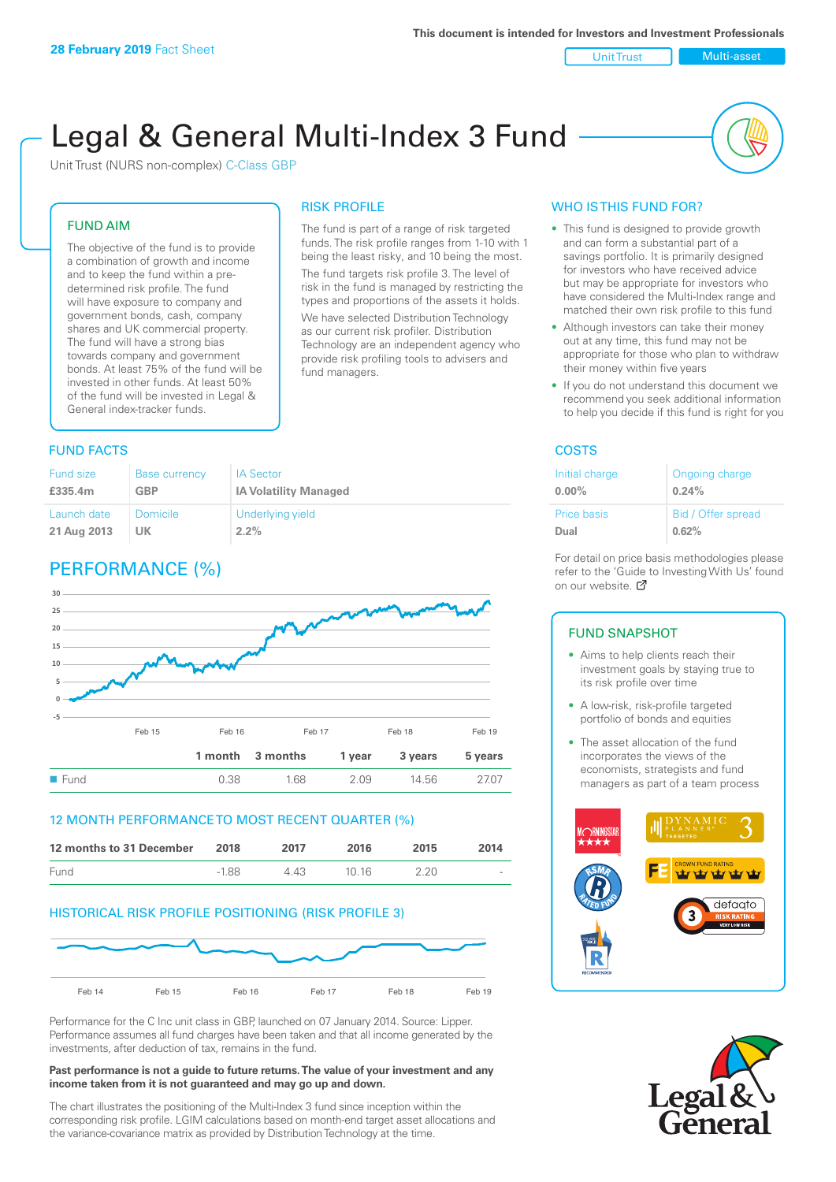#### Unit Trust Nulti-asset

# Legal & General Multi-Index 3 Fund

RISK PROFILE

fund managers.

The fund is part of a range of risk targeted funds. The risk profile ranges from 1-10 with 1 being the least risky, and 10 being the most. The fund targets risk profile 3. The level of risk in the fund is managed by restricting the types and proportions of the assets it holds. We have selected Distribution Technology as our current risk profiler. Distribution Technology are an independent agency who provide risk profiling tools to advisers and

Unit Trust (NURS non-complex) C-Class GBP

#### FUND AIM

The objective of the fund is to provide a combination of growth and income and to keep the fund within a predetermined risk profile. The fund will have exposure to company and government bonds, cash, company shares and UK commercial property. The fund will have a strong bias towards company and government bonds. At least 75% of the fund will be invested in other funds. At least 50% of the fund will be invested in Legal & General index-tracker funds.

#### **FUND FACTS** COSTS

| <b>Fund size</b> | <b>Base currency</b> | <b>IA Sector</b>             |
|------------------|----------------------|------------------------------|
| £335.4m          | <b>GBP</b>           | <b>IA Volatility Managed</b> |
| Launch date      | Domicile             | Underlying yield             |
| 21 Aug 2013      | UK                   | $2.2\%$                      |

# PERFORMANCE (%)



#### 12 MONTH PERFORMANCE TO MOST RECENT QUARTER (%)

| 12 months to 31 December | 2018    | 2017 | 2016  | 2015 | 2014   |
|--------------------------|---------|------|-------|------|--------|
| Fund                     | $-1.88$ | 4 43 | 10.16 | 2.20 | $\sim$ |

#### HISTORICAL RISK PROFILE POSITIONING (RISK PROFILE 3)



Performance for the C Inc unit class in GBP, launched on 07 January 2014. Source: Lipper. Performance assumes all fund charges have been taken and that all income generated by the investments, after deduction of tax, remains in the fund.

#### **Past performance is not a guide to future returns. The value of your investment and any income taken from it is not guaranteed and may go up and down.**

The chart illustrates the positioning of the Multi-Index 3 fund since inception within the corresponding risk profile. LGIM calculations based on month-end target asset allocations and the variance-covariance matrix as provided by Distribution Technology at the time.

#### WHO IS THIS FUND FOR?

- This fund is designed to provide growth and can form a substantial part of a savings portfolio. It is primarily designed for investors who have received advice but may be appropriate for investors who have considered the Multi-Index range and matched their own risk profile to this fund
- Although investors can take their money out at any time, this fund may not be appropriate for those who plan to withdraw their money within five years
- If you do not understand this document we recommend you seek additional information to help you decide if this fund is right for you

| Initial charge | Ongoing charge     |
|----------------|--------------------|
| $0.00\%$       | 0.24%              |
| Price basis    | Bid / Offer spread |
| Dual           | 0.62%              |

For detail on price basis methodologies please refer to the 'Guide to Investing With Us' found on our website. Ø

#### FUND SNAPSHOT

- Aims to help clients reach their investment goals by staying true to its risk profile over time
- A low-risk, risk-profile targeted portfolio of bonds and equities
- The asset allocation of the fund incorporates the views of the economists, strategists and fund managers as part of a team process



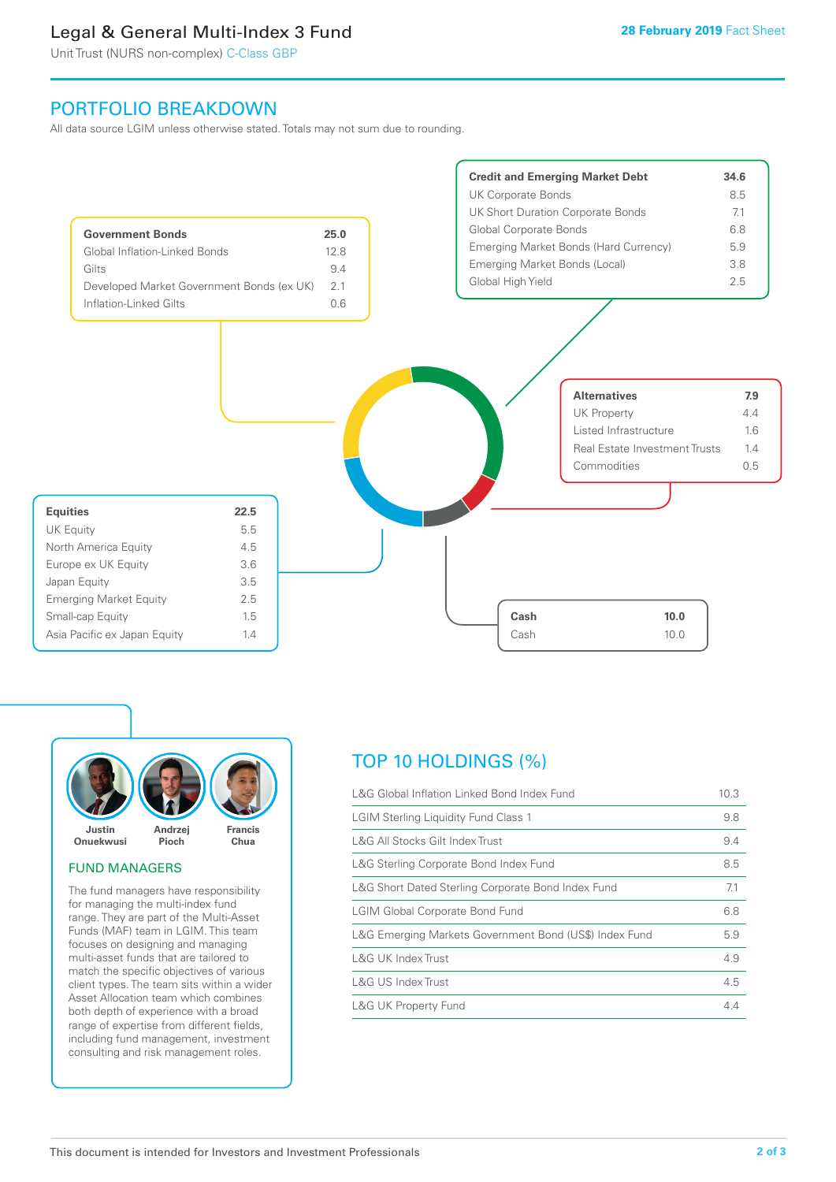# Legal & General Multi-Index 3 Fund

Unit Trust (NURS non-complex) C-Class GBP

# PORTFOLIO BREAKDOWN

All data source LGIM unless otherwise stated. Totals may not sum due to rounding.





#### FUND MANAGERS

The fund managers have responsibility for managing the multi-index fund range. They are part of the Multi-Asset Funds (MAF) team in LGIM. This team focuses on designing and managing multi-asset funds that are tailored to match the specific objectives of various client types. The team sits within a wider Asset Allocation team which combines both depth of experience with a broad range of expertise from different fields, including fund management, investment consulting and risk management roles.

# TOP 10 HOLDINGS (%)

| L&G Global Inflation Linked Bond Index Fund            | 10.3 |
|--------------------------------------------------------|------|
| <b>LGIM Sterling Liquidity Fund Class 1</b>            | 9.8  |
| L&G All Stocks Gilt Index Trust                        | 9.4  |
| L&G Sterling Corporate Bond Index Fund                 | 8.5  |
| L&G Short Dated Sterling Corporate Bond Index Fund     | 7.1  |
| <b>LGIM Global Corporate Bond Fund</b>                 | 6.8  |
| L&G Emerging Markets Government Bond (US\$) Index Fund | 5.9  |
| L&G UK Index Trust                                     | 4.9  |
| L&G US Index Trust                                     | 4.5  |
| <b>L&amp;G UK Property Fund</b>                        | 4.4  |